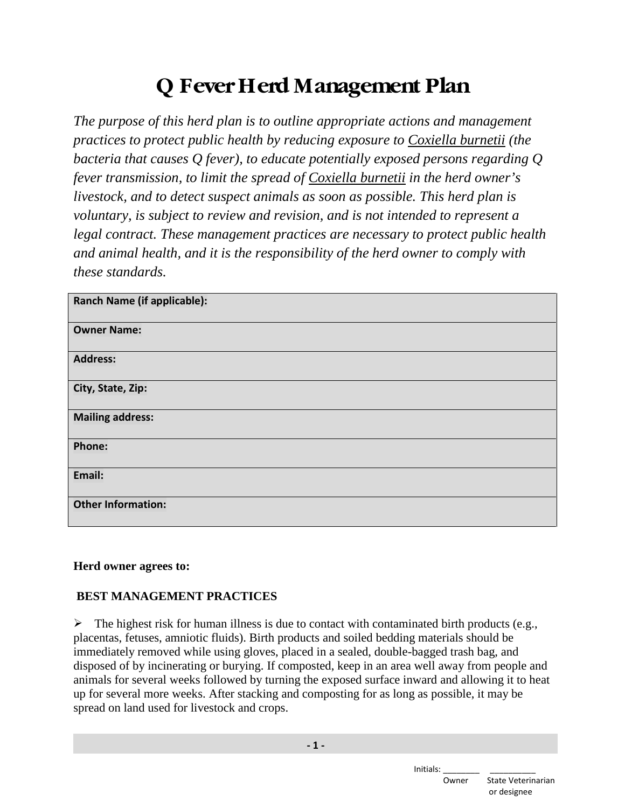# **Q Fever Herd Management Plan**

*The purpose of this herd plan is to outline appropriate actions and management practices to protect public health by reducing exposure to Coxiella burnetii (the bacteria that causes Q fever), to educate potentially exposed persons regarding Q fever transmission, to limit the spread of Coxiella burnetii in the herd owner's livestock, and to detect suspect animals as soon as possible. This herd plan is voluntary, is subject to review and revision, and is not intended to represent a legal contract. These management practices are necessary to protect public health and animal health, and it is the responsibility of the herd owner to comply with these standards.*

| <b>Ranch Name (if applicable):</b> |
|------------------------------------|
| <b>Owner Name:</b>                 |
| <b>Address:</b>                    |
| City, State, Zip:                  |
| <b>Mailing address:</b>            |
| Phone:                             |
| Email:                             |
| <b>Other Information:</b>          |

## **Herd owner agrees to:**

# **BEST MANAGEMENT PRACTICES**

 $\triangleright$  The highest risk for human illness is due to contact with contaminated birth products (e.g., placentas, fetuses, amniotic fluids). Birth products and soiled bedding materials should be immediately removed while using gloves, placed in a sealed, double-bagged trash bag, and disposed of by incinerating or burying. If composted, keep in an area well away from people and animals for several weeks followed by turning the exposed surface inward and allowing it to heat up for several more weeks. After stacking and composting for as long as possible, it may be spread on land used for livestock and crops.

Initials:

 Owner State Veterinarian or designee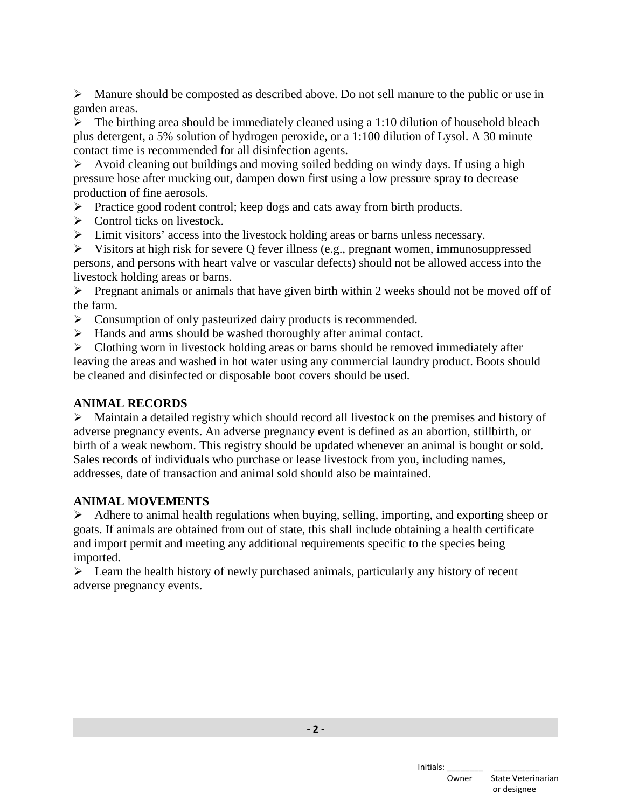$\triangleright$  Manure should be composted as described above. Do not sell manure to the public or use in garden areas.

 $\triangleright$  The birthing area should be immediately cleaned using a 1:10 dilution of household bleach plus detergent, a 5% solution of hydrogen peroxide, or a 1:100 dilution of Lysol. A 30 minute contact time is recommended for all disinfection agents.

 Avoid cleaning out buildings and moving soiled bedding on windy days. If using a high pressure hose after mucking out, dampen down first using a low pressure spray to decrease production of fine aerosols.

 $\triangleright$  Practice good rodent control; keep dogs and cats away from birth products.

- $\triangleright$  Control ticks on livestock.
- Limit visitors' access into the livestock holding areas or barns unless necessary.

 $\triangleright$  Visitors at high risk for severe Q fever illness (e.g., pregnant women, immunosuppressed persons, and persons with heart valve or vascular defects) should not be allowed access into the livestock holding areas or barns.

 $\triangleright$  Pregnant animals or animals that have given birth within 2 weeks should not be moved off of the farm.

- $\triangleright$  Consumption of only pasteurized dairy products is recommended.
- Hands and arms should be washed thoroughly after animal contact.

 $\triangleright$  Clothing worn in livestock holding areas or barns should be removed immediately after leaving the areas and washed in hot water using any commercial laundry product. Boots should be cleaned and disinfected or disposable boot covers should be used.

### **ANIMAL RECORDS**

 $\triangleright$  Maintain a detailed registry which should record all livestock on the premises and history of adverse pregnancy events. An adverse pregnancy event is defined as an abortion, stillbirth, or birth of a weak newborn. This registry should be updated whenever an animal is bought or sold. Sales records of individuals who purchase or lease livestock from you, including names, addresses, date of transaction and animal sold should also be maintained.

#### **ANIMAL MOVEMENTS**

 $\triangleright$  Adhere to animal health regulations when buying, selling, importing, and exporting sheep or goats. If animals are obtained from out of state, this shall include obtaining a health certificate and import permit and meeting any additional requirements specific to the species being imported.

 $\triangleright$  Learn the health history of newly purchased animals, particularly any history of recent adverse pregnancy events.

**- 2 -**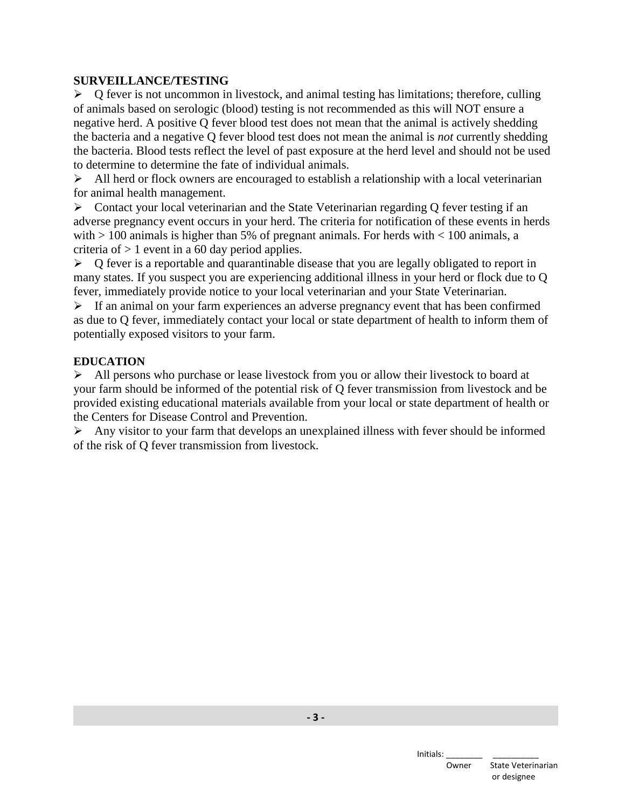#### **SURVEILLANCE/TESTING**

 $\triangleright$  Q fever is not uncommon in livestock, and animal testing has limitations; therefore, culling of animals based on serologic (blood) testing is not recommended as this will NOT ensure a negative herd. A positive Q fever blood test does not mean that the animal is actively shedding the bacteria and a negative Q fever blood test does not mean the animal is *not* currently shedding the bacteria. Blood tests reflect the level of past exposure at the herd level and should not be used to determine to determine the fate of individual animals.

 $\triangleright$  All herd or flock owners are encouraged to establish a relationship with a local veterinarian for animal health management.

 Contact your local veterinarian and the State Veterinarian regarding Q fever testing if an adverse pregnancy event occurs in your herd. The criteria for notification of these events in herds with  $> 100$  animals is higher than 5% of pregnant animals. For herds with  $< 100$  animals, a criteria of  $> 1$  event in a 60 day period applies.

 $\triangleright$  Q fever is a reportable and quarantinable disease that you are legally obligated to report in many states. If you suspect you are experiencing additional illness in your herd or flock due to Q fever, immediately provide notice to your local veterinarian and your State Veterinarian.

 $\triangleright$  If an animal on your farm experiences an adverse pregnancy event that has been confirmed as due to Q fever, immediately contact your local or state department of health to inform them of potentially exposed visitors to your farm.

#### **EDUCATION**

 $\triangleright$  All persons who purchase or lease livestock from you or allow their livestock to board at your farm should be informed of the potential risk of Q fever transmission from livestock and be provided existing educational materials available from your local or state department of health or the Centers for Disease Control and Prevention.

 $\triangleright$  Any visitor to your farm that develops an unexplained illness with fever should be informed of the risk of Q fever transmission from livestock.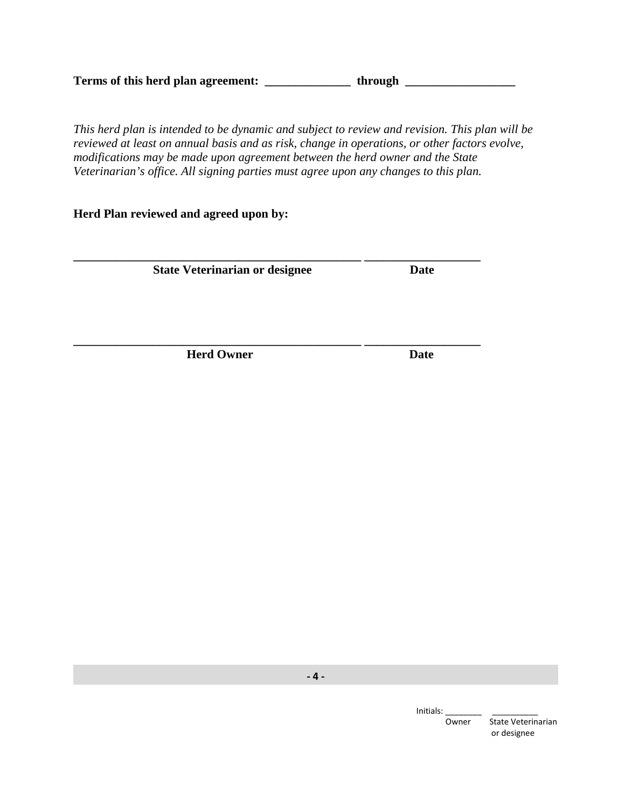Terms of this herd plan agreement: \_\_\_\_\_\_\_\_\_\_\_\_\_\_\_\_\_\_\_\_ through

**\_\_\_\_\_\_\_\_\_\_\_\_\_\_\_\_\_\_\_\_\_\_\_\_\_\_\_\_\_\_\_\_\_\_\_\_\_\_\_\_\_\_\_\_\_\_\_ \_\_\_\_\_\_\_\_\_\_\_\_\_\_\_\_\_\_\_** 

*This herd plan is intended to be dynamic and subject to review and revision. This plan will be reviewed at least on annual basis and as risk, change in operations, or other factors evolve, modifications may be made upon agreement between the herd owner and the State Veterinarian's office. All signing parties must agree upon any changes to this plan.* 

#### **Herd Plan reviewed and agreed upon by:**

**\_\_\_\_\_\_\_\_\_\_\_\_\_\_\_\_\_\_\_\_\_\_\_\_\_\_\_\_\_\_\_\_\_\_\_\_\_\_\_\_\_\_\_\_\_\_\_ \_\_\_\_\_\_\_\_\_\_\_\_\_\_\_\_\_\_\_ State Veterinarian or designee Date Date** 

*Herd Owner* Date

**- 4 -**

Initials:

 Owner State Veterinarian or designee